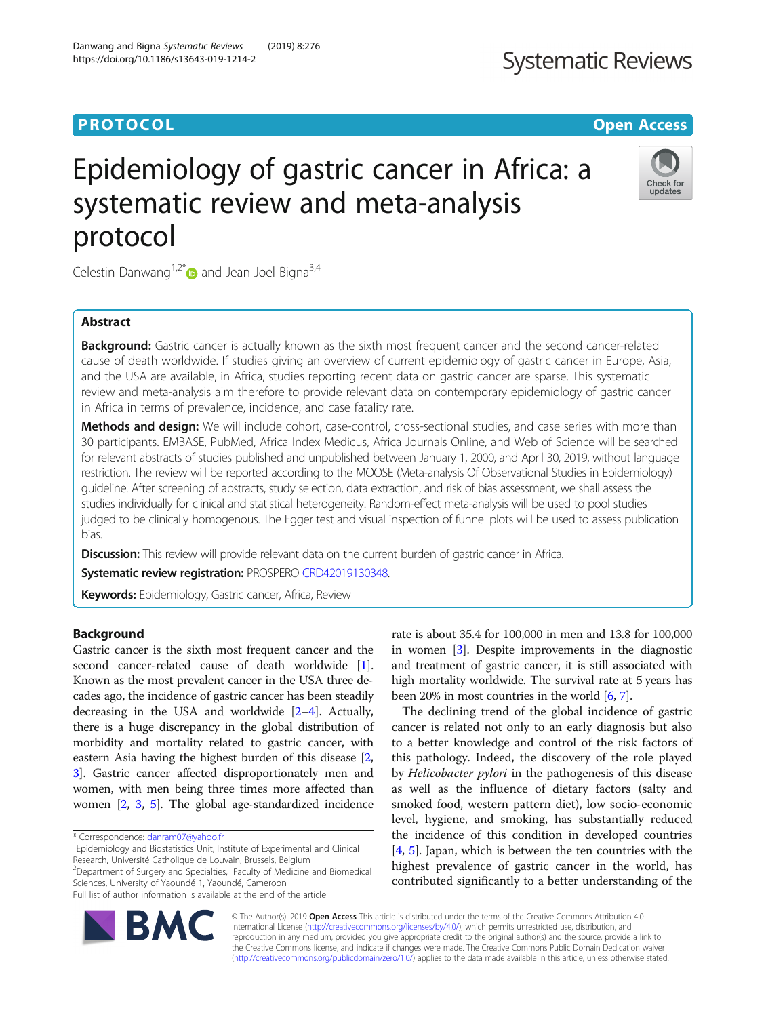# **PROTOCOL CONSUMING THE OPEN ACCESS**

# Epidemiology of gastric cancer in Africa: a systematic review and meta-analysis protocol

Celestin Danwang<sup>1,2\*</sup> and Jean Joel Bigna<sup>3,4</sup>

# Abstract

**Background:** Gastric cancer is actually known as the sixth most frequent cancer and the second cancer-related cause of death worldwide. If studies giving an overview of current epidemiology of gastric cancer in Europe, Asia, and the USA are available, in Africa, studies reporting recent data on gastric cancer are sparse. This systematic review and meta-analysis aim therefore to provide relevant data on contemporary epidemiology of gastric cancer in Africa in terms of prevalence, incidence, and case fatality rate.

Methods and design: We will include cohort, case-control, cross-sectional studies, and case series with more than 30 participants. EMBASE, PubMed, Africa Index Medicus, Africa Journals Online, and Web of Science will be searched for relevant abstracts of studies published and unpublished between January 1, 2000, and April 30, 2019, without language restriction. The review will be reported according to the MOOSE (Meta-analysis Of Observational Studies in Epidemiology) guideline. After screening of abstracts, study selection, data extraction, and risk of bias assessment, we shall assess the studies individually for clinical and statistical heterogeneity. Random-effect meta-analysis will be used to pool studies judged to be clinically homogenous. The Egger test and visual inspection of funnel plots will be used to assess publication bias.

**Discussion:** This review will provide relevant data on the current burden of gastric cancer in Africa.

Systematic review registration: PROSPERO [CRD42019130348.](https://www.crd.york.ac.uk/prospero/display_record.php?RecordID=130348)

Keywords: Epidemiology, Gastric cancer, Africa, Review

# Background

Gastric cancer is the sixth most frequent cancer and the second cancer-related cause of death worldwide [[1](#page-3-0)]. Known as the most prevalent cancer in the USA three decades ago, the incidence of gastric cancer has been steadily decreasing in the USA and worldwide [\[2](#page-3-0)–[4\]](#page-3-0). Actually, there is a huge discrepancy in the global distribution of morbidity and mortality related to gastric cancer, with eastern Asia having the highest burden of this disease [[2](#page-3-0), [3\]](#page-3-0). Gastric cancer affected disproportionately men and women, with men being three times more affected than women [[2,](#page-3-0) [3](#page-3-0), [5\]](#page-3-0). The global age-standardized incidence

<sup>1</sup> Epidemiology and Biostatistics Unit, Institute of Experimental and Clinical Research, Université Catholique de Louvain, Brussels, Belgium <sup>2</sup> Department of Surgery and Specialties, Faculty of Medicine and Biomedical

Sciences, University of Yaoundé 1, Yaoundé, Cameroon

Full list of author information is available at the end of the article

rate is about 35.4 for 100,000 in men and 13.8 for 100,000 in women [\[3\]](#page-3-0). Despite improvements in the diagnostic and treatment of gastric cancer, it is still associated with high mortality worldwide. The survival rate at 5 years has been 20% in most countries in the world [\[6](#page-3-0), [7\]](#page-3-0).

The declining trend of the global incidence of gastric cancer is related not only to an early diagnosis but also to a better knowledge and control of the risk factors of this pathology. Indeed, the discovery of the role played by Helicobacter pylori in the pathogenesis of this disease as well as the influence of dietary factors (salty and smoked food, western pattern diet), low socio-economic level, hygiene, and smoking, has substantially reduced the incidence of this condition in developed countries [[4,](#page-3-0) [5\]](#page-3-0). Japan, which is between the ten countries with the highest prevalence of gastric cancer in the world, has contributed significantly to a better understanding of the

© The Author(s). 2019 Open Access This article is distributed under the terms of the Creative Commons Attribution 4.0 International License [\(http://creativecommons.org/licenses/by/4.0/](http://creativecommons.org/licenses/by/4.0/)), which permits unrestricted use, distribution, and reproduction in any medium, provided you give appropriate credit to the original author(s) and the source, provide a link to the Creative Commons license, and indicate if changes were made. The Creative Commons Public Domain Dedication waiver [\(http://creativecommons.org/publicdomain/zero/1.0/](http://creativecommons.org/publicdomain/zero/1.0/)) applies to the data made available in this article, unless otherwise stated.





Check for updates

<sup>\*</sup> Correspondence: [danram07@yahoo.fr](mailto:danram07@yahoo.fr) <sup>1</sup>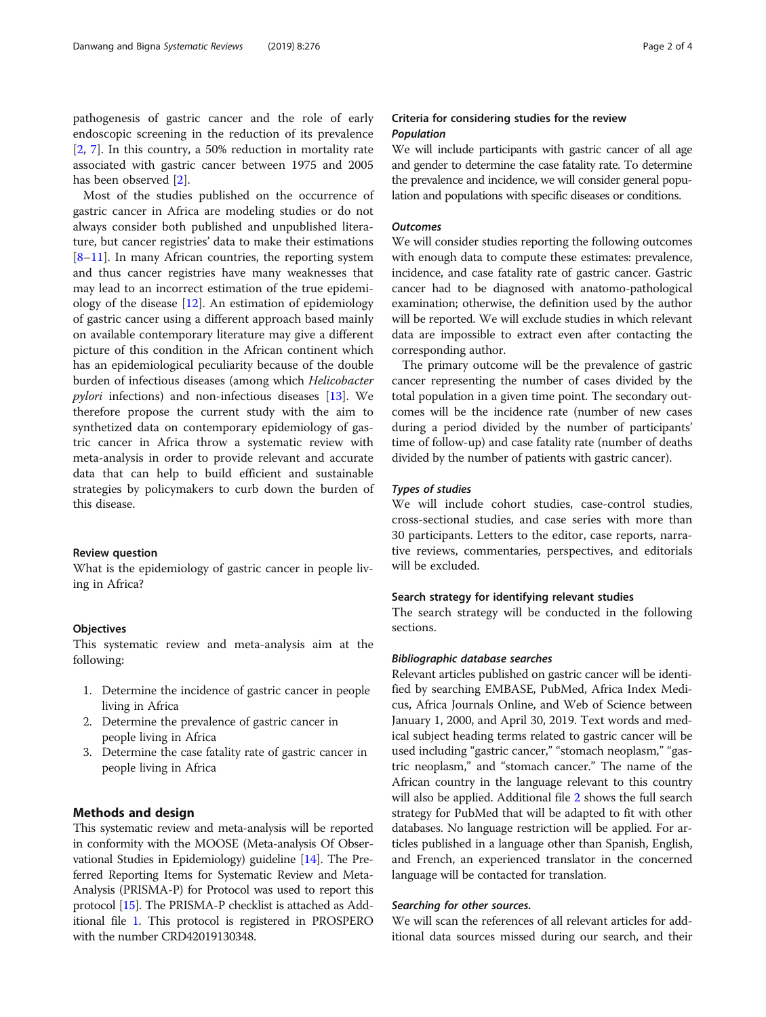pathogenesis of gastric cancer and the role of early endoscopic screening in the reduction of its prevalence [[2,](#page-3-0) [7](#page-3-0)]. In this country, a 50% reduction in mortality rate associated with gastric cancer between 1975 and 2005 has been observed [[2\]](#page-3-0).

Most of the studies published on the occurrence of gastric cancer in Africa are modeling studies or do not always consider both published and unpublished literature, but cancer registries' data to make their estimations  $[8-11]$  $[8-11]$  $[8-11]$  $[8-11]$ . In many African countries, the reporting system and thus cancer registries have many weaknesses that may lead to an incorrect estimation of the true epidemiology of the disease  $[12]$  $[12]$  $[12]$ . An estimation of epidemiology of gastric cancer using a different approach based mainly on available contemporary literature may give a different picture of this condition in the African continent which has an epidemiological peculiarity because of the double burden of infectious diseases (among which Helicobacter pylori infections) and non-infectious diseases [\[13](#page-3-0)]. We therefore propose the current study with the aim to synthetized data on contemporary epidemiology of gastric cancer in Africa throw a systematic review with meta-analysis in order to provide relevant and accurate data that can help to build efficient and sustainable strategies by policymakers to curb down the burden of this disease.

# Review question

What is the epidemiology of gastric cancer in people living in Africa?

# **Objectives**

This systematic review and meta-analysis aim at the following:

- 1. Determine the incidence of gastric cancer in people living in Africa
- 2. Determine the prevalence of gastric cancer in people living in Africa
- 3. Determine the case fatality rate of gastric cancer in people living in Africa

# Methods and design

This systematic review and meta-analysis will be reported in conformity with the MOOSE (Meta-analysis Of Observational Studies in Epidemiology) guideline [[14](#page-3-0)]. The Preferred Reporting Items for Systematic Review and Meta-Analysis (PRISMA-P) for Protocol was used to report this protocol [[15](#page-3-0)]. The PRISMA-P checklist is attached as Additional file [1.](#page-3-0) This protocol is registered in PROSPERO with the number CRD42019130348.

# Criteria for considering studies for the review Population

We will include participants with gastric cancer of all age and gender to determine the case fatality rate. To determine the prevalence and incidence, we will consider general population and populations with specific diseases or conditions.

## **Outcomes**

We will consider studies reporting the following outcomes with enough data to compute these estimates: prevalence, incidence, and case fatality rate of gastric cancer. Gastric cancer had to be diagnosed with anatomo-pathological examination; otherwise, the definition used by the author will be reported. We will exclude studies in which relevant data are impossible to extract even after contacting the corresponding author.

The primary outcome will be the prevalence of gastric cancer representing the number of cases divided by the total population in a given time point. The secondary outcomes will be the incidence rate (number of new cases during a period divided by the number of participants' time of follow-up) and case fatality rate (number of deaths divided by the number of patients with gastric cancer).

#### Types of studies

We will include cohort studies, case-control studies, cross-sectional studies, and case series with more than 30 participants. Letters to the editor, case reports, narrative reviews, commentaries, perspectives, and editorials will be excluded.

# Search strategy for identifying relevant studies

The search strategy will be conducted in the following sections.

# Bibliographic database searches

Relevant articles published on gastric cancer will be identified by searching EMBASE, PubMed, Africa Index Medicus, Africa Journals Online, and Web of Science between January 1, 2000, and April 30, 2019. Text words and medical subject heading terms related to gastric cancer will be used including "gastric cancer," "stomach neoplasm," "gastric neoplasm," and "stomach cancer." The name of the African country in the language relevant to this country will also be applied. Additional file [2](#page-3-0) shows the full search strategy for PubMed that will be adapted to fit with other databases. No language restriction will be applied. For articles published in a language other than Spanish, English, and French, an experienced translator in the concerned language will be contacted for translation.

# Searching for other sources.

We will scan the references of all relevant articles for additional data sources missed during our search, and their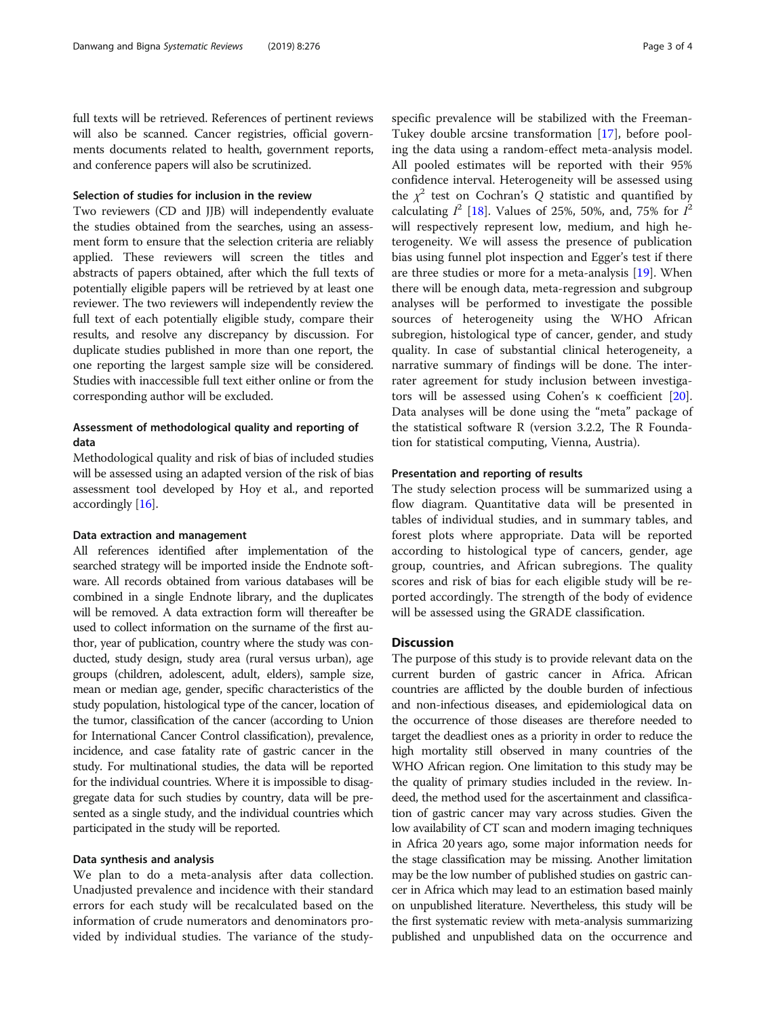full texts will be retrieved. References of pertinent reviews will also be scanned. Cancer registries, official governments documents related to health, government reports, and conference papers will also be scrutinized.

#### Selection of studies for inclusion in the review

Two reviewers (CD and JJB) will independently evaluate the studies obtained from the searches, using an assessment form to ensure that the selection criteria are reliably applied. These reviewers will screen the titles and abstracts of papers obtained, after which the full texts of potentially eligible papers will be retrieved by at least one reviewer. The two reviewers will independently review the full text of each potentially eligible study, compare their results, and resolve any discrepancy by discussion. For duplicate studies published in more than one report, the one reporting the largest sample size will be considered. Studies with inaccessible full text either online or from the corresponding author will be excluded.

# Assessment of methodological quality and reporting of data

Methodological quality and risk of bias of included studies will be assessed using an adapted version of the risk of bias assessment tool developed by Hoy et al., and reported accordingly [\[16\]](#page-3-0).

#### Data extraction and management

All references identified after implementation of the searched strategy will be imported inside the Endnote software. All records obtained from various databases will be combined in a single Endnote library, and the duplicates will be removed. A data extraction form will thereafter be used to collect information on the surname of the first author, year of publication, country where the study was conducted, study design, study area (rural versus urban), age groups (children, adolescent, adult, elders), sample size, mean or median age, gender, specific characteristics of the study population, histological type of the cancer, location of the tumor, classification of the cancer (according to Union for International Cancer Control classification), prevalence, incidence, and case fatality rate of gastric cancer in the study. For multinational studies, the data will be reported for the individual countries. Where it is impossible to disaggregate data for such studies by country, data will be presented as a single study, and the individual countries which participated in the study will be reported.

## Data synthesis and analysis

We plan to do a meta-analysis after data collection. Unadjusted prevalence and incidence with their standard errors for each study will be recalculated based on the information of crude numerators and denominators provided by individual studies. The variance of the studyspecific prevalence will be stabilized with the Freeman-Tukey double arcsine transformation [[17\]](#page-3-0), before pooling the data using a random-effect meta-analysis model. All pooled estimates will be reported with their 95% confidence interval. Heterogeneity will be assessed using the  $\chi^2$  test on Cochran's Q statistic and quantified by calculating  $I^2$  [[18](#page-3-0)]. Values of 25%, 50%, and, 75% for  $I^2$ will respectively represent low, medium, and high heterogeneity. We will assess the presence of publication bias using funnel plot inspection and Egger's test if there are three studies or more for a meta-analysis [\[19](#page-3-0)]. When there will be enough data, meta-regression and subgroup analyses will be performed to investigate the possible sources of heterogeneity using the WHO African subregion, histological type of cancer, gender, and study quality. In case of substantial clinical heterogeneity, a narrative summary of findings will be done. The interrater agreement for study inclusion between investigators will be assessed using Cohen's κ coefficient [\[20](#page-3-0)]. Data analyses will be done using the "meta" package of the statistical software R (version 3.2.2, The R Foundation for statistical computing, Vienna, Austria).

#### Presentation and reporting of results

The study selection process will be summarized using a flow diagram. Quantitative data will be presented in tables of individual studies, and in summary tables, and forest plots where appropriate. Data will be reported according to histological type of cancers, gender, age group, countries, and African subregions. The quality scores and risk of bias for each eligible study will be reported accordingly. The strength of the body of evidence will be assessed using the GRADE classification.

#### **Discussion**

The purpose of this study is to provide relevant data on the current burden of gastric cancer in Africa. African countries are afflicted by the double burden of infectious and non-infectious diseases, and epidemiological data on the occurrence of those diseases are therefore needed to target the deadliest ones as a priority in order to reduce the high mortality still observed in many countries of the WHO African region. One limitation to this study may be the quality of primary studies included in the review. Indeed, the method used for the ascertainment and classification of gastric cancer may vary across studies. Given the low availability of CT scan and modern imaging techniques in Africa 20 years ago, some major information needs for the stage classification may be missing. Another limitation may be the low number of published studies on gastric cancer in Africa which may lead to an estimation based mainly on unpublished literature. Nevertheless, this study will be the first systematic review with meta-analysis summarizing published and unpublished data on the occurrence and